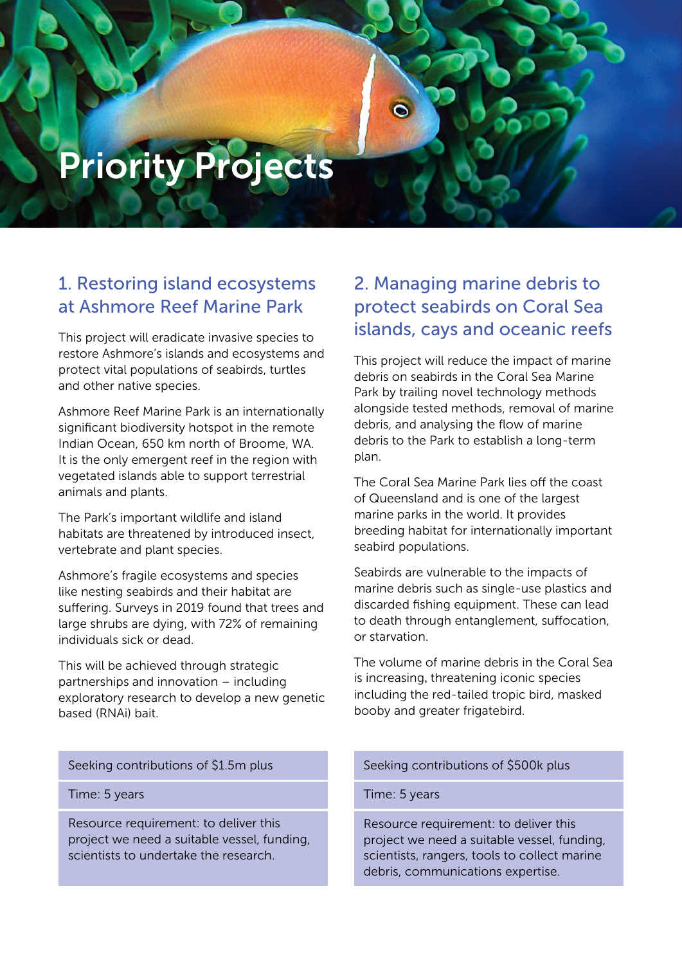# Priority Projects

## 1. Restoring island ecosystems at Ashmore Reef Marine Park

This project will eradicate invasive species to restore Ashmore's islands and ecosystems and protect vital populations of seabirds, turtles and other native species.

Ashmore Reef Marine Park is an internationally significant biodiversity hotspot in the remote Indian Ocean, 650 km north of Broome, WA. It is the only emergent reef in the region with vegetated islands able to support terrestrial animals and plants.

The Park's important wildlife and island habitats are threatened by introduced insect, vertebrate and plant species.

Ashmore's fragile ecosystems and species like nesting seabirds and their habitat are suffering. Surveys in 2019 found that trees and large shrubs are dying, with 72% of remaining individuals sick or dead.

This will be achieved through strategic partnerships and innovation – including exploratory research to develop a new genetic based (RNAi) bait.

#### Seeking contributions of \$1.5m plus

Time: 5 years

Resource requirement: to deliver this project we need a suitable vessel, funding, scientists to undertake the research.

## 2. Managing marine debris to protect seabirds on Coral Sea islands, cays and oceanic reefs

This project will reduce the impact of marine debris on seabirds in the Coral Sea Marine Park by trailing novel technology methods alongside tested methods, removal of marine debris, and analysing the flow of marine debris to the Park to establish a long-term plan.

The Coral Sea Marine Park lies off the coast of Queensland and is one of the largest marine parks in the world. It provides breeding habitat for internationally important seabird populations.

Seabirds are vulnerable to the impacts of marine debris such as single-use plastics and discarded fishing equipment. These can lead to death through entanglement, suffocation, or starvation.

The volume of marine debris in the Coral Sea is increasing, threatening iconic species including the red-tailed tropic bird, masked booby and greater frigatebird.

#### Seeking contributions of \$500k plus

#### Time: 5 years

Resource requirement: to deliver this project we need a suitable vessel, funding, scientists, rangers, tools to collect marine debris, communications expertise.